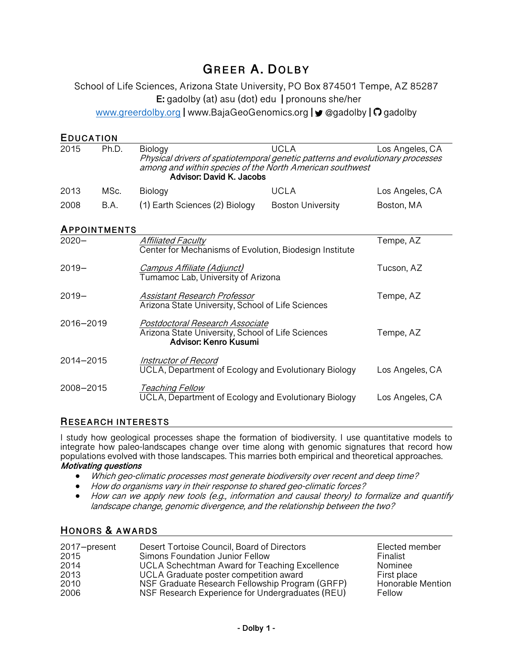# **GREER A. DOLBY**

School of Life Sciences, Arizona State University, PO Box 874501 Tempe, AZ 85287 **E:** gadolby (at) asu (dot) edu **|** pronouns she/her www.greerdolby.org **|** www.BajaGeoGenomics.org **|** @gadolby **|** gadolby

| <b>EDUCATION</b> |       |                                                                                                                                                                                   |                          |                 |
|------------------|-------|-----------------------------------------------------------------------------------------------------------------------------------------------------------------------------------|--------------------------|-----------------|
| 2015             | Ph.D. | Biology<br>Physical drivers of spatiotemporal genetic patterns and evolutionary processes<br>among and within species of the North American southwest<br>Advisor: David K. Jacobs | <b>UCLA</b>              | Los Angeles, CA |
| 2013             | MSc.  | Biology                                                                                                                                                                           | <b>UCLA</b>              | Los Angeles, CA |
| 2008             | B.A.  | (1) Earth Sciences (2) Biology                                                                                                                                                    | <b>Boston University</b> | Boston, MA      |
| APPOINTMENTS     |       |                                                                                                                                                                                   |                          |                 |
| $2020 -$         |       | <b>Affiliated Faculty</b><br>Center for Mechanisms of Evolution, Biodesign Institute                                                                                              |                          | Tempe, AZ       |
| $2019 -$         |       | Campus Affiliate (Adjunct)<br>Tumamoc Lab, University of Arizona                                                                                                                  |                          | Tucson, AZ      |
| $2019 -$         |       | Assistant Research Professor<br>Arizona State University, School of Life Sciences                                                                                                 |                          | Tempe, AZ       |
| 2016-2019        |       | Postdoctoral Research Associate<br>Arizona State University, School of Life Sciences<br>Advisor: Kenro Kusumi                                                                     |                          | Tempe, AZ       |
| 2014-2015        |       | Instructor of Record<br>UCLA, Department of Ecology and Evolutionary Biology                                                                                                      |                          | Los Angeles, CA |
| 2008-2015        |       | <b>Teaching Fellow</b><br>UCLA, Department of Ecology and Evolutionary Biology                                                                                                    |                          | Los Angeles, CA |

## **RESEARCH INTERESTS**

I study how geological processes shape the formation of biodiversity. I use quantitative models to integrate how paleo-landscapes change over time along with genomic signatures that record how populations evolved with those landscapes. This marries both empirical and theoretical approaches.

## **Motivating questions**

- Which geo-climatic processes most generate biodiversity over recent and deep time?
- How do organisms vary in their response to shared geo-climatic forces?
- How can we apply new tools (e.g., information and causal theory) to formalize and quantify landscape change, genomic divergence, and the relationship between the two?

#### **HONORS & AWARDS**

| 2017-present | Desert Tortoise Council, Board of Directors      | Elected member    |
|--------------|--------------------------------------------------|-------------------|
| 2015         | Simons Foundation Junior Fellow                  | Finalist          |
| 2014         | UCLA Schechtman Award for Teaching Excellence    | Nominee           |
| 2013         | UCLA Graduate poster competition award           | First place       |
| 2010         | NSF Graduate Research Fellowship Program (GRFP)  | Honorable Mention |
| 2006         | NSF Research Experience for Undergraduates (REU) | Fellow            |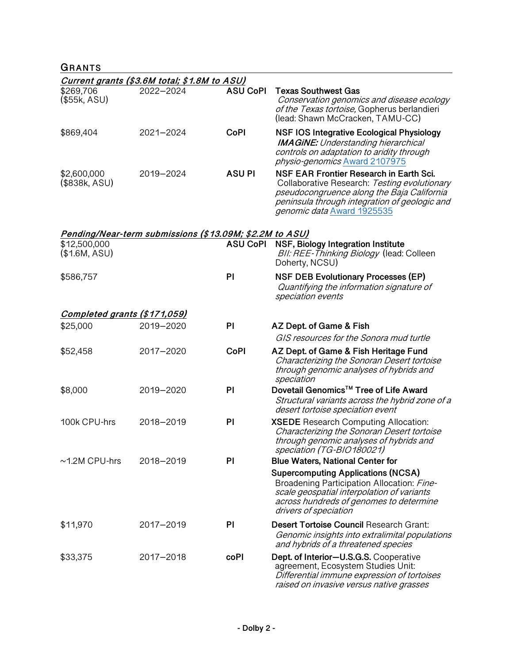# **GRANTS**

|                               | Current grants (\$3.6M total; \$1.8M to ASU)            |                 |                                                                                                                                                                                                                      |
|-------------------------------|---------------------------------------------------------|-----------------|----------------------------------------------------------------------------------------------------------------------------------------------------------------------------------------------------------------------|
| \$269,706<br>(\$55k, ASU)     | 2022-2024                                               | <b>ASU CoPI</b> | <b>Texas Southwest Gas</b><br>Conservation genomics and disease ecology<br>of the Texas tortoise, Gopherus berlandieri<br>(lead: Shawn McCracken, TAMU-CC)                                                           |
| \$869,404                     | 2021-2024                                               | <b>CoPI</b>     | <b>NSF IOS Integrative Ecological Physiology</b><br><b>IMAGINE:</b> Understanding hierarchical<br>controls on adaptation to aridity through<br>physio-genomics Award 2107975                                         |
| \$2,600,000<br>(\$838k, ASU)  | 2019-2024                                               | <b>ASUPI</b>    | NSF EAR Frontier Research in Earth Sci.<br>Collaborative Research: Testing evolutionary<br>pseudocongruence along the Baja California<br>peninsula through integration of geologic and<br>genomic data Award 1925535 |
| \$12,500,000<br>(\$1.6M, ASU) | Pending/Near-term submissions (\$13.09M; \$2.2M to ASU) | <b>ASU CoPI</b> | NSF, Biology Integration Institute<br>BII: REE-Thinking Biology (lead: Colleen<br>Doherty, NCSU)                                                                                                                     |
| \$586,757                     |                                                         | PI              | <b>NSF DEB Evolutionary Processes (EP)</b><br>Quantifying the information signature of<br>speciation events                                                                                                          |
| Completed grants (\$171,059)  |                                                         |                 |                                                                                                                                                                                                                      |
| \$25,000                      | 2019-2020                                               | PI              | AZ Dept. of Game & Fish                                                                                                                                                                                              |
|                               |                                                         |                 | GIS resources for the Sonora mud turtle                                                                                                                                                                              |
| \$52,458                      | 2017-2020                                               | <b>CoPI</b>     | AZ Dept. of Game & Fish Heritage Fund<br>Characterizing the Sonoran Desert tortoise<br>through genomic analyses of hybrids and<br>speciation                                                                         |
| \$8,000                       | 2019-2020                                               | PI              | Dovetail Genomics™ Tree of Life Award<br>Structural variants across the hybrid zone of a<br>desert tortoise speciation event                                                                                         |
| 100k CPU-hrs                  | 2018-2019                                               | PI              | <b>XSEDE</b> Research Computing Allocation:<br>Characterizing the Sonoran Desert tortoise<br>through genomic analyses of hybrids and<br>speciation (1G-BIO180021)                                                    |
| $~1.2M$ CPU-hrs               | 2018-2019                                               | PI              | <b>Blue Waters, National Center for</b>                                                                                                                                                                              |
|                               |                                                         |                 | <b>Supercomputing Applications (NCSA)</b><br>Broadening Participation Allocation: Fine-<br>scale geospatial interpolation of variants<br>across hundreds of genomes to determine<br>drivers of speciation            |
| \$11,970                      | 2017-2019                                               | PI              | Desert Tortoise Council Research Grant:<br>Genomic insights into extralimital populations<br>and hybrids of a threatened species                                                                                     |
| \$33,375                      | 2017-2018                                               | coPI            | Dept. of Interior-U.S.G.S. Cooperative<br>agreement, Ecosystem Studies Unit:<br>Differential immune expression of tortoises<br>raised on invasive versus native grasses                                              |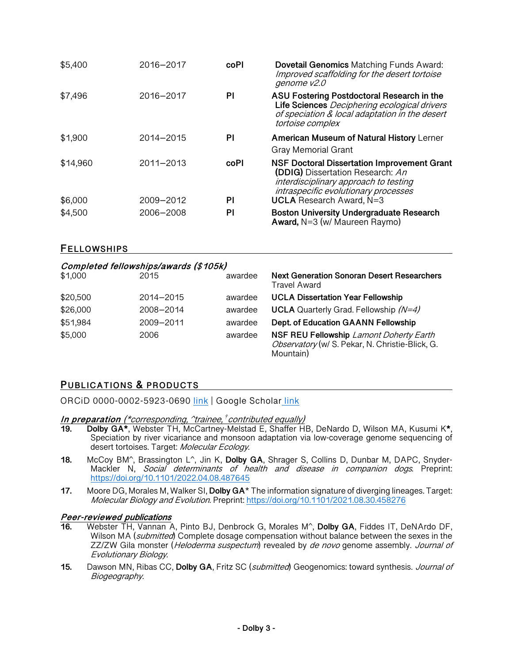| \$5,400  | 2016-2017 | coPl | <b>Dovetail Genomics Matching Funds Award:</b><br>Improved scaffolding for the desert tortoise<br>genome v2.0                                                           |
|----------|-----------|------|-------------------------------------------------------------------------------------------------------------------------------------------------------------------------|
| \$7,496  | 2016-2017 | PI   | ASU Fostering Postdoctoral Research in the<br>Life Sciences Deciphering ecological drivers<br>of speciation & local adaptation in the desert<br>tortoise complex        |
| \$1,900  | 2014-2015 | PI   | <b>American Museum of Natural History Lerner</b>                                                                                                                        |
|          |           |      | Gray Memorial Grant                                                                                                                                                     |
| \$14,960 | 2011-2013 | coPl | <b>NSF Doctoral Dissertation Improvement Grant</b><br>(DDIG) Dissertation Research: An<br>interdisciplinary approach to testing<br>intraspecific evolutionary processes |
| \$6,000  | 2009-2012 | ΡI   | <b>UCLA</b> Research Award, N=3                                                                                                                                         |
| \$4,500  | 2006-2008 | PI   | <b>Boston University Undergraduate Research</b><br><b>Award, <math>N=3</math> (w/ Maureen Raymo)</b>                                                                    |

## **FELLOWSHIPS**

|          | Completed fellowships/awards (\$105k) |         |                                                                                                         |
|----------|---------------------------------------|---------|---------------------------------------------------------------------------------------------------------|
| \$1,000  | 2015                                  | awardee | <b>Next Generation Sonoran Desert Researchers</b><br>Travel Award                                       |
| \$20,500 | 2014-2015                             | awardee | <b>UCLA Dissertation Year Fellowship</b>                                                                |
| \$26,000 | 2008-2014                             | awardee | <b>UCLA</b> Quarterly Grad. Fellowship $(N=4)$                                                          |
| \$51,984 | 2009-2011                             | awardee | Dept. of Education GAANN Fellowship                                                                     |
| \$5,000  | 2006                                  | awardee | NSF REU Fellowship Lamont Doherty Earth<br>Observatory (w/ S. Pekar, N. Christie-Blick, G.<br>Mountain) |

## **PUBLICATIONS & PRODUCTS**

ORCiD 0000-0002-5923-0690 link | Google Scholar link

#### **In preparation** (\*corresponding, ^trainee, *†* contributed equally)

- **19. Dolby GA\***, Webster TH, McCartney-Melstad E, Shaffer HB, DeNardo D, Wilson MA, Kusumi K**\***, Speciation by river vicariance and monsoon adaptation via low-coverage genome sequencing of desert tortoises. Target: Molecular Ecology.
- **18.** McCoy BM^, Brassington L^, Jin K, **Dolby GA**, Shrager S, Collins D, Dunbar M, DAPC, Snyder-Mackler N, Social determinants of health and disease in companion dogs. Preprint: https://doi.org/10.1101/2022.04.08.487645
- **17.** Moore DG, Morales M, Walker SI, **Dolby GA**\* The information signature of diverging lineages. Target: Molecular Biology and Evolution. Preprint: https://doi.org/10.1101/2021.08.30.458276

#### **Peer-reviewed publications**

- **16.** Webster TH, Vannan A, Pinto BJ, Denbrock G, Morales M^, **Dolby GA**, Fiddes IT, DeNArdo DF, Wilson MA (*submitted*) Complete dosage compensation without balance between the sexes in the ZZ/ZW Gila monster (*Heloderma suspectum*) revealed by *de novo* genome assembly. Journal of Evolutionary Biology.
- **15.** Dawson MN, Ribas CC, **Dolby GA**, Fritz SC (submitted) Geogenomics: toward synthesis. Journal of Biogeography.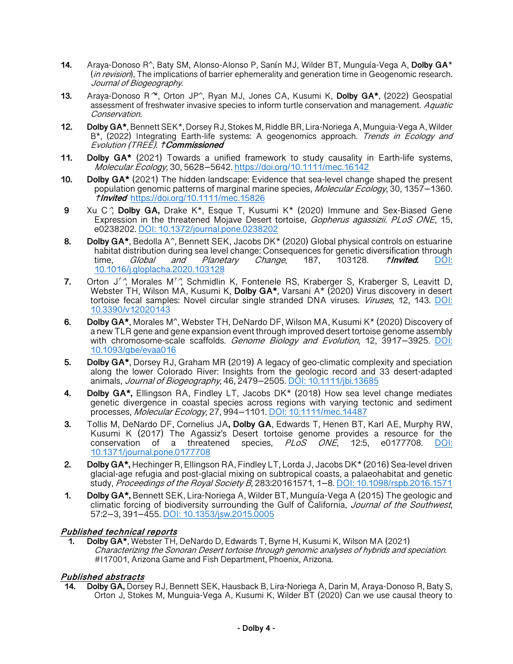- **14.** Araya-Donoso R^, Baty SM, Alonso-Alonso P, Sanín MJ, Wilder BT, Munguía-Vega A, **Dolby GA**\* (in revision), The implications of barrier ephemerality and generation time in Geogenomic research. Journal of Biogeography.
- **13.** Araya-Donoso R^\*, Orton JP^, Ryan MJ, Jones CA, Kusumi K, **Dolby GA\***, (2022) Geospatial assessment of freshwater invasive species to inform turtle conservation and management. Aquatic Conservation.
- **12. Dolby GA\***, Bennett SEK\*, Dorsey RJ, Stokes M, Riddle BR, Lira-Noriega A, Munguia-Vega A, Wilder B<sup>\*</sup>, (2022) Integrating Earth-life systems: A geogenomics approach. Trends in Ecology and Evolution (TREE). ☨**Commissioned**
- **11. Dolby GA\*** (2021) Towards a unified framework to study causality in Earth-life systems, Molecular Ecology, 30, 5628–5642. https://doi.org/10.1111/mec.16142
- **10. Dolby GA\*** (2021) The hidden landscape: Evidence that sea-level change shaped the present population genomic patterns of marginal marine species, Molecular Ecology, 30, 1357–1360. ☨**Invited** https://doi.org/10.1111/mec.15826
- **9** Xu C^, **Dolby GA,** Drake K\*, Esque T, Kusumi K\* (2020) Immune and Sex-Biased Gene Expression in the threatened Mojave Desert tortoise, *Gopherus agassizii. PLoS ONE*, 15, e0238202. DOI: 10.1372/journal.pone.0238202
- **8. Dolby GA\***, Bedolla A^, Bennett SEK, Jacobs DK\* (2020) Global physical controls on estuarine habitat distribution during sea level change: Consequences for genetic diversification through<br>time, Global and Planetary Change, 187, 103128. *†Invited.* DOI: time, Global and Planetary Change, 187, 103128. ☨**Invited.** DOI: 10.1016/j.gloplacha.2020.103128
- **7.** Orton J*†* ^, Morales M*†* ^, Schmidlin K, Fontenele RS, Kraberger S, Kraberger S, Leavitt D, Webster TH, Wilson MA, Kusumi K, **Dolby GA\***, Varsani A\* (2020) Virus discovery in desert tortoise fecal samples: Novel circular single stranded DNA viruses. *Viruses*, 12, 143. DOI: 10.3390/v12020143
- **6. Dolby GA\***, Morales M^, Webster TH, DeNardo DF, Wilson MA, Kusumi K\* (2020) Discovery of a new TLR gene and gene expansion event through improved desert tortoise genome assembly with chromosome-scale scaffolds. Genome Biology and Evolution, 12, 3917–3925. DOI: 10.1093/gbe/evaa016
- **5. Dolby GA\***, Dorsey RJ, Graham MR (2019) A legacy of geo-climatic complexity and speciation along the lower Colorado River: Insights from the geologic record and 33 desert-adapted animals, Journal of Biogeography, 46, 2479–2505. DOI: 10.1111/jbi.13685
- **4. Dolby GA\*,** Ellingson RA, Findley LT, Jacobs DK\* (2018) How sea level change mediates genetic divergence in coastal species across regions with varying tectonic and sediment processes, Molecular Ecology, 27, 994–1101. DOI: 10.1111/mec.14487
- **3.** Tollis M, DeNardo DF, Cornelius JA**, Dolby GA**, Edwards T, Henen BT, Karl AE, Murphy RW, Kusumi K (2017) The Agassiz's Desert tortoise genome provides a resource for the conservation of a threatened species, *PLoS ONE*, 12:5, e0177708. <u>DOI:</u> 10.1371/journal.pone.0177708
- **2. Dolby GA\*,** Hechinger R, Ellingson RA, Findley LT, Lorda J, Jacobs DK\* (2016) Sea-level driven glacial-age refugia and post-glacial mixing on subtropical coasts, a palaeohabitat and genetic study, *Proceedings of the Royal Society B*, 283:20161571, 1–8. DOI: 10.1098/rspb.2016.1571
- **1. Dolby GA\*,** Bennett SEK, Lira-Noriega A, Wilder BT, Munguía-Vega A (2015) The geologic and climatic forcing of biodiversity surrounding the Gulf of California, *Journal of the Southwest*,<br>57:2–3, 391–455. DOI: 10.1353/jsw.2015.0005

#### **Published technical reports**

**1. Dolby GA\***, Webster TH, DeNardo D, Edwards T, Byrne H, Kusumi K, Wilson MA (2021) Characterizing the Sonoran Desert tortoise through genomic analyses of hybrids and speciation. #I17001, Arizona Game and Fish Department, Phoenix, Arizona.

#### **Published abstracts**

**14. Dolby GA,** Dorsey RJ, Bennett SEK, Hausback B, Lira-Noriega A, Darin M, Araya-Donoso R, Baty S, Orton J, Stokes M, Munguia-Vega A, Kusumi K, Wilder BT (2020) Can we use causal theory to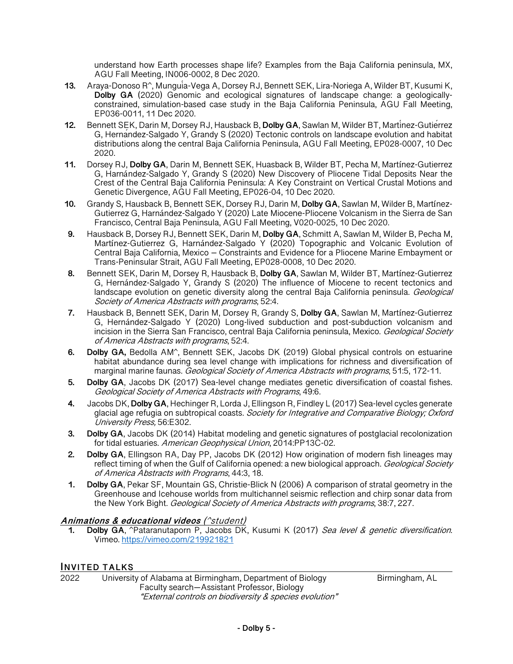understand how Earth processes shape life? Examples from the Baja California peninsula, MX, AGU Fall Meeting, IN006-0002, 8 Dec 2020.

- **13.** Araya-Donoso R^, Munguía-Vega A, Dorsey RJ, Bennett SEK, Lira-Noriega A, Wilder BT, Kusumi K, **Dolby GA** (2020) Genomic and ecological signatures of landscape change: a geologicallyconstrained, simulation-based case study in the Baja California Peninsula, AGU Fall Meeting, EP036-0011, 11 Dec 2020.
- **12.** Bennett SEK, Darin M, Dorsey RJ, Hausback B, **Dolby GA**, Sawlan M, Wilder BT, Martínez-Gutiérrez G, Hernández-Salgado Y, Grandy S (2020) Tectonic controls on landscape evolution and habitat distributions along the central Baja California Peninsula, AGU Fall Meeting, EP028-0007, 10 Dec 2020.
- **11.** Dorsey RJ, **Dolby GA**, Darin M, Bennett SEK, Huasback B, Wilder BT, Pecha M, Martínez-Gutierrez G, Harnández-Salgado Y, Grandy S (2020) New Discovery of Pliocene Tidal Deposits Near the Crest of the Central Baja California Peninsula: A Key Constraint on Vertical Crustal Motions and Genetic Divergence, AGU Fall Meeting, EP026-04, 10 Dec 2020.
- **10.** Grandy S, Hausback B, Bennett SEK, Dorsey RJ, Darin M, **Dolby GA**, Sawlan M, Wilder B, Martínez-Gutierrez G, Harnández-Salgado Y (2020) Late Miocene-Pliocene Volcanism in the Sierra de San Francisco, Central Baja Peninsula, AGU Fall Meeting, V020-0025, 10 Dec 2020.
- **9.** Hausback B, Dorsey RJ, Bennett SEK, Darin M, **Dolby GA**, Schmitt A, Sawlan M, Wilder B, Pecha M, Martínez-Gutierrez G, Harnández-Salgado Y (2020) Topographic and Volcanic Evolution of Central Baja California, Mexico – Constraints and Evidence for a Pliocene Marine Embayment or Trans-Peninsular Strait, AGU Fall Meeting, EP028-0008, 10 Dec 2020.
- **8.** Bennett SEK, Darin M, Dorsey R, Hausback B, **Dolby GA**, Sawlan M, Wilder BT, Martínez-Gutierrez G, Hernández-Salgado Y, Grandy S (2020) The influence of Miocene to recent tectonics and landscape evolution on genetic diversity along the central Baja California peninsula. *Geological* Society of America Abstracts with programs, 52:4.
- **7.** Hausback B, Bennett SEK, Darin M, Dorsey R, Grandy S, **Dolby GA**, Sawlan M, Martínez-Gutierrez G, Hernández-Salgado Y (2020) Long-lived subduction and post-subduction volcanism and incision in the Sierra San Francisco, central Baja California peninsula, Mexico. Geological Society of America Abstracts with programs, 52:4.
- **6. Dolby GA,** Bedolla AM^, Bennett SEK, Jacobs DK (2019) Global physical controls on estuarine habitat abundance during sea level change with implications for richness and diversification of marginal marine faunas. Geological Society of America Abstracts with programs, 51:5, 172-11.
- **5. Dolby GA**, Jacobs DK (2017) Sea-level change mediates genetic diversification of coastal fishes. Geological Society of America Abstracts with Programs, 49:6.
- **4.** Jacobs DK, **Dolby GA**, Hechinger R, Lorda J, Ellingson R, Findley L (2017) Sea-level cycles generate glacial age refugia on subtropical coasts. Society for Integrative and Comparative Biology; Oxford University Press, 56:E302.
- **3. Dolby GA**, Jacobs DK (2014) Habitat modeling and genetic signatures of postglacial recolonization for tidal estuaries. American Geophysical Union, 2014:PP13C-02.
- **2. Dolby GA**, Ellingson RA, Day PP, Jacobs DK (2012) How origination of modern fish lineages may reflect timing of when the Gulf of California opened: a new biological approach. Geological Society of America Abstracts with Programs, 44:3, 18.
- **1. Dolby GA**, Pekar SF, Mountain GS, Christie-Blick N (2006) A comparison of stratal geometry in the Greenhouse and Icehouse worlds from multichannel seismic reflection and chirp sonar data from the New York Bight. Geological Society of America Abstracts with programs, 38:7, 227.

#### **Animations & educational videos** (^student)

**1. Dolby GA**, ^Pataranutaporn P, Jacobs DK, Kusumi K (2017) Sea level & genetic diversification. Vimeo. https://vimeo.com/219921821

## **INVITED TALKS**

2022 University of Alabama at Birmingham, Department of Biology Birmingham, AL Faculty search—Assistant Professor, Biology "External controls on biodiversity & species evolution"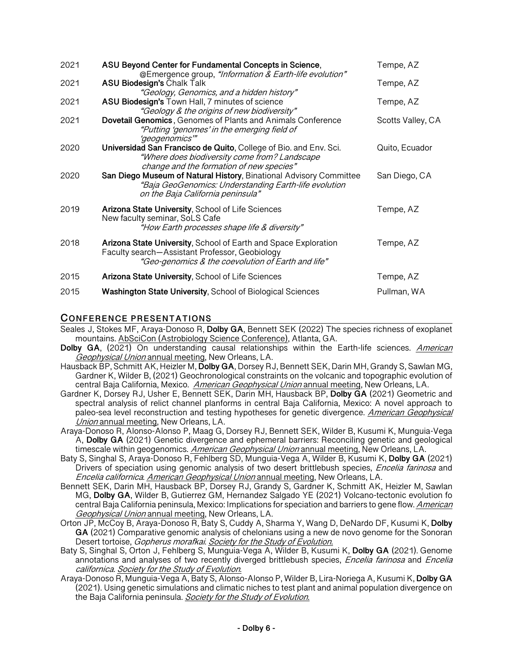| 2021 | ASU Beyond Center for Fundamental Concepts in Science,<br>@Emergence group, "Information & Earth-life evolution"                                                        | Tempe, AZ         |
|------|-------------------------------------------------------------------------------------------------------------------------------------------------------------------------|-------------------|
| 2021 | <b>ASU Biodesign's Chalk Talk</b><br>"Geology, Genomics, and a hidden history"                                                                                          | Tempe, AZ         |
| 2021 | ASU Biodesign's Town Hall, 7 minutes of science<br>"Geology & the origins of new biodiversity"                                                                          | Tempe, AZ         |
| 2021 | Dovetail Genomics, Genomes of Plants and Animals Conference<br>"Putting 'genomes' in the emerging field of<br>'geogenomics'"                                            | Scotts Valley, CA |
| 2020 | Universidad San Francisco de Quito, College of Bio. and Env. Sci.<br>"Where does biodiversity come from? Landscape<br>change and the formation of new species"          | Quito, Ecuador    |
| 2020 | San Diego Museum of Natural History, Binational Advisory Committee<br>"Baja GeoGenomics: Understanding Earth-life evolution<br>on the Baja California peninsula"        | San Diego, CA     |
| 2019 | Arizona State University, School of Life Sciences<br>New faculty seminar, SoLS Cafe<br>"How Earth processes shape life & diversity"                                     | Tempe, AZ         |
| 2018 | Arizona State University, School of Earth and Space Exploration<br>Faculty search-Assistant Professor, Geobiology<br>"Geo-genomics & the coevolution of Earth and life" | Tempe, AZ         |
| 2015 | Arizona State University, School of Life Sciences                                                                                                                       | Tempe, AZ         |
| 2015 | <b>Washington State University, School of Biological Sciences</b>                                                                                                       | Pullman, WA       |

## **CONFERENCE PRESENTATIONS**

- Seales J, Stokes MF, Araya-Donoso R, **Dolby GA**, Bennett SEK (2022) The species richness of exoplanet mountains. AbSciCon (Astrobiology Science Conference), Atlanta, GA.
- **Dolby GA**, (2021) On understanding causal relationships within the Earth-life sciences. *American* Geophysical Union annual meeting, New Orleans, LA.
- Hausback BP, Schmitt AK, Heizler M, **Dolby GA**, Dorsey RJ, Bennett SEK, Darin MH, Grandy S, Sawlan MG, Gardner K, Wilder B, (2021) Geochronological constraints on the volcanic and topographic evolution of central Baja California, Mexico. American Geophysical Union annual meeting, New Orleans, LA.
- Gardner K, Dorsey RJ, Usher E, Bennett SEK, Darin MH, Hausback BP, **Dolby GA** (2021) Geometric and spectral analysis of relict channel planforms in central Baja California, Mexico: A novel approach to paleo-sea level reconstruction and testing hypotheses for genetic divergence. American Geophysical Union annual meeting, New Orleans, LA.
- Araya-Donoso R, Alonso-Alonso P, Maag G, Dorsey RJ, Bennett SEK, Wilder B, Kusumi K, Munguia-Vega A, **Dolby GA** (2021) Genetic divergence and ephemeral barriers: Reconciling genetic and geological timescale within geogenomics. American Geophysical Union annual meeting, New Orleans, LA.
- Baty S, Singhal S, Araya-Donoso R, Fehlberg SD, Munguia-Vega A, Wilder B, Kusumi K, **Dolby GA** (2021) Drivers of speciation using genomic analysis of two desert brittlebush species, *Encelia farinosa* and Encelia californica. American Geophysical Union annual meeting, New Orleans, LA.
- Bennett SEK, Darin MH, Hausback BP, Dorsey RJ, Grandy S, Gardner K, Schmitt AK, Heizler M, Sawlan MG, **Dolby GA**, Wilder B, Gutierrez GM, Hernandez Salgado YE (2021) Volcano-tectonic evolution fo central Baja California peninsula, Mexico: Implications for speciation and barriers to gene flow. American Geophysical Union annual meeting, New Orleans, LA.
- Orton JP, McCoy B, Araya-Donoso R, Baty S, Cuddy A, Sharma Y, Wang D, DeNardo DF, Kusumi K, **Dolby GA** (2021) Comparative genomic analysis of chelonians using a new de novo genome for the Sonoran Desert tortoise, Gopherus morafkai. Society for the Study of Evolution.
- Baty S, Singhal S, Orton J, Fehlberg S, Munguia-Vega A, Wilder B, Kusumi K, **Dolby GA** (2021). Genome annotations and analyses of two recently diverged brittlebush species, *Encelia farinosa* and *Encelia* californica. Society for the Study of Evolution.
- Araya-Donoso R, Munguia-Vega A, Baty S, Alonso-Alonso P, Wilder B, Lira-Noriega A, Kusumi K, **Dolby GA** (2021). Using genetic simulations and climatic niches to test plant and animal population divergence on the Baja California peninsula. Society for the Study of Evolution.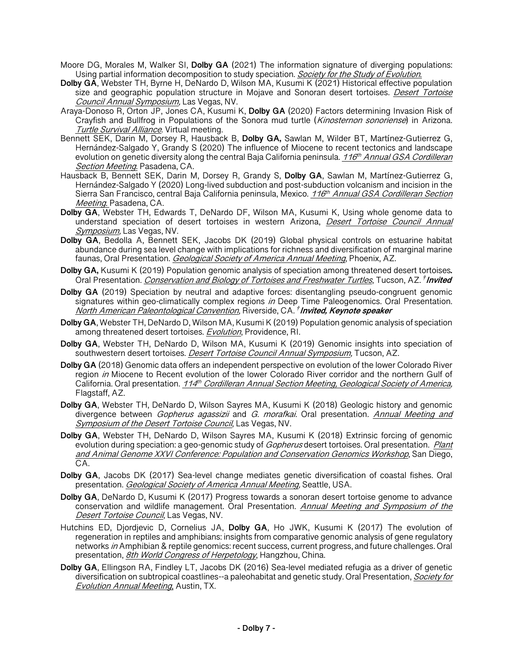- Moore DG, Morales M, Walker SI, **Dolby GA** (2021) The information signature of diverging populations: Using partial information decomposition to study speciation. Society for the Study of Evolution.
- **Dolby GA**, Webster TH, Byrne H, DeNardo D, Wilson MA, Kusumi K (2021) Historical effective population size and geographic population structure in Mojave and Sonoran desert tortoises. *Desert Tortoise* Council Annual Symposium, Las Vegas, NV.
- Araya-Donoso R, Orton JP, Jones CA, Kusumi K, **Dolby GA** (2020) Factors determining Invasion Risk of Crayfish and Bullfrog in Populations of the Sonora mud turtle (Kinosternon sonoriense) in Arizona. Turtle Survival Alliance. Virtual meeting.
- Bennett SEK, Darin M, Dorsey R, Hausback B, **Dolby GA,** Sawlan M, Wilder BT, Martínez-Gutierrez G, Hernández-Salgado Y, Grandy S (2020) The influence of Miocene to recent tectonics and landscape evolution on genetic diversity along the central Baja California peninsula. 116<sup>th</sup> Annual GSA Cordilleran Section Meeting. Pasadena, CA.
- Hausback B, Bennett SEK, Darin M, Dorsey R, Grandy S, **Dolby GA**, Sawlan M, Martínez-Gutierrez G, Hernández-Salgado Y (2020) Long-lived subduction and post-subduction volcanism and incision in the Sierra San Francisco, central Baja California peninsula, Mexico. 116<sup>th</sup> Annual GSA Cordilleran Section Meeting. Pasadena, CA.
- **Dolby GA**, Webster TH, Edwards T, DeNardo DF, Wilson MA, Kusumi K, Using whole genome data to understand speciation of desert tortoises in western Arizona, *Desert Tortoise Council Annual* Symposium, Las Vegas, NV.
- **Dolby GA**, Bedolla A, Bennett SEK, Jacobs DK (2019) Global physical controls on estuarine habitat abundance during sea level change with implications for richness and diversification of marginal marine faunas, Oral Presentation. *Geological Society of America Annual Meeting*, Phoenix, AZ.
- **Dolby GA,** Kusumi K (2019) Population genomic analysis of speciation among threatened desert tortoises**.**  Oral Presentation. Conservation and Biology of Tortoises and Freshwater Turtles, Tucson, AZ. *†* **Invited**
- **Dolby GA** (2019) Speciation by neutral and adaptive forces: disentangling pseudo-congruent genomic signatures within geo-climatically complex regions in Deep Time Paleogenomics. Oral Presentation. North American Paleontological Convention, Riverside, CA. *†* **Invited, Keynote speaker**
- **Dolby GA**, Webster TH, DeNardo D, Wilson MA, Kusumi K (2019) Population genomic analysis of speciation among threatened desert tortoises. Evolution, Providence, RI.
- **Dolby GA**, Webster TH, DeNardo D, Wilson MA, Kusumi K (2019) Genomic insights into speciation of southwestern desert tortoises. Desert Tortoise Council Annual Symposium, Tucson, AZ.
- **Dolby GA** (2018) Genomic data offers an independent perspective on evolution of the lower Colorado River region in Miocene to Recent evolution of the lower Colorado River corridor and the northern Gulf of California. Oral presentation. 114<sup>th</sup> Cordilleran Annual Section Meeting, Geological Society of America, Flagstaff, AZ.
- **Dolby GA**, Webster TH, DeNardo D, Wilson Sayres MA, Kusumi K (2018) Geologic history and genomic divergence between Gopherus agassizii and G. morafkai. Oral presentation. Annual Meeting and Symposium of the Desert Tortoise Council, Las Vegas, NV.
- **Dolby GA**, Webster TH, DeNardo D, Wilson Sayres MA, Kusumi K (2018) Extrinsic forcing of genomic evolution during speciation: a geo-genomic study of *Gopherus* desert tortoises. Oral presentation. Plant and Animal Genome XXVI Conference: Population and Conservation Genomics Workshop, San Diego, CA.
- **Dolby GA**, Jacobs DK (2017) Sea-level change mediates genetic diversification of coastal fishes. Oral presentation. Geological Society of America Annual Meeting, Seattle, USA.
- **Dolby GA**, DeNardo D, Kusumi K (2017) Progress towards a sonoran desert tortoise genome to advance conservation and wildlife management. Oral Presentation. Annual Meeting and Symposium of the Desert Tortoise Council, Las Vegas, NV.
- Hutchins ED, Djordjevic D, Cornelius JA, **Dolby GA**, Ho JWK, Kusumi K (2017) The evolution of regeneration in reptiles and amphibians: insights from comparative genomic analysis of gene regulatory networks in Amphibian & reptile genomics: recent success, current progress, and future challenges. Oral presentation, 8th World Congress of Herpetology, Hangzhou, China.
- **Dolby GA**, Ellingson RA, Findley LT, Jacobs DK (2016) Sea-level mediated refugia as a driver of genetic diversification on subtropical coastlines--a paleohabitat and genetic study. Oral Presentation, Society for Evolution Annual Meeting, Austin, TX.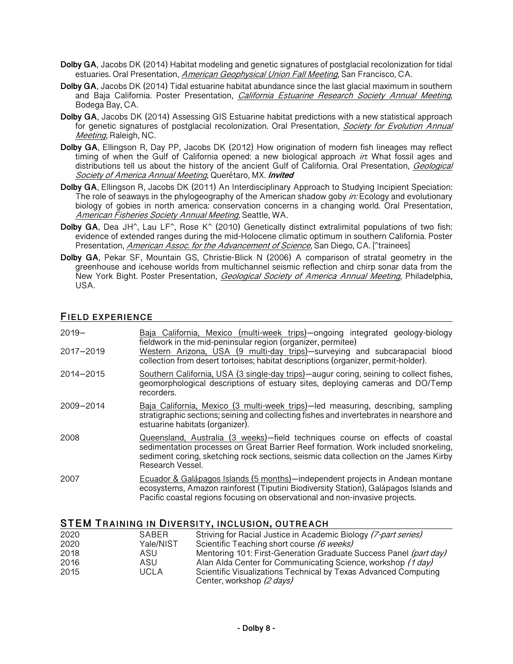- **Dolby GA**, Jacobs DK (2014) Habitat modeling and genetic signatures of postglacial recolonization for tidal estuaries. Oral Presentation, American Geophysical Union Fall Meeting, San Francisco, CA.
- **Dolby GA**, Jacobs DK (2014) Tidal estuarine habitat abundance since the last glacial maximum in southern and Baja California. Poster Presentation, *California Estuarine Research Society Annual Meeting*, Bodega Bay, CA.
- **Dolby GA**, Jacobs DK (2014) Assessing GIS Estuarine habitat predictions with a new statistical approach for genetic signatures of postglacial recolonization. Oral Presentation, *Society for Evolution Annual* Meeting, Raleigh, NC.
- **Dolby GA**, Ellingson R, Day PP, Jacobs DK (2012) How origination of modern fish lineages may reflect timing of when the Gulf of California opened: a new biological approach in: What fossil ages and distributions tell us about the history of the ancient Gulf of California. Oral Presentation, *Geological* Society of America Annual Meeting, Querétaro, MX. **Invited**
- **Dolby GA**, Ellingson R, Jacobs DK (2011) An Interdisciplinary Approach to Studying Incipient Speciation: The role of seaways in the phylogeography of the American shadow goby *in*: Ecology and evolutionary biology of gobies in north america: conservation concerns in a changing world. Oral Presentation, American Fisheries Society Annual Meeting, Seattle, WA.
- **Dolby GA**, Dea JH^, Lau LF^, Rose K^ (2010) Genetically distinct extralimital populations of two fish: evidence of extended ranges during the mid-Holocene climatic optimum in southern California. Poster Presentation, American Assoc. for the Advancement of Science, San Diego, CA. [^trainees]
- **Dolby GA**, Pekar SF, Mountain GS, Christie-Blick N (2006) A comparison of stratal geometry in the greenhouse and icehouse worlds from multichannel seismic reflection and chirp sonar data from the New York Bight. Poster Presentation, *Geological Society of America Annual Meeting*, Philadelphia, USA.

## **FIELD EXPERIENCE**

| $2019 -$<br>2017-2019 | Baja California, Mexico (multi-week trips)-ongoing integrated geology-biology<br>fieldwork in the mid-peninsular region (organizer, permitee)<br>Western Arizona, USA (9 multi-day trips)-surveying and subcarapacial blood<br>collection from desert tortoises; habitat descriptions (organizer, permit-holder). |
|-----------------------|-------------------------------------------------------------------------------------------------------------------------------------------------------------------------------------------------------------------------------------------------------------------------------------------------------------------|
| 2014-2015             | Southern California, USA (3 single-day trips)-augur coring, seining to collect fishes,<br>geomorphological descriptions of estuary sites, deploying cameras and DO/Temp<br>recorders.                                                                                                                             |
| 2009-2014             | Baja California, Mexico (3 multi-week trips)-led measuring, describing, sampling<br>stratigraphic sections; seining and collecting fishes and invertebrates in nearshore and<br>estuarine habitats (organizer).                                                                                                   |
| 2008                  | Queensland, Australia (3 weeks)—field techniques course on effects of coastal<br>sedimentation processes on Great Barrier Reef formation. Work included snorkeling,<br>sediment coring, sketching rock sections, seismic data collection on the James Kirby<br>Research Vessel.                                   |
| 2007                  | Ecuador & Galápagos Islands (5 months)-independent projects in Andean montane<br>ecosystems, Amazon rainforest (Tiputini Biodiversity Station), Galápagos Islands and<br>Pacific coastal regions focusing on observational and non-invasive projects.                                                             |

#### **STEM TRAINING IN DIVERSITY, INCLUSION, OUTREACH**

| 2020 | SABER       | Striving for Racial Justice in Academic Biology (7-part series)                              |
|------|-------------|----------------------------------------------------------------------------------------------|
| 2020 | Yale/NIST   | Scientific Teaching short course (6 weeks)                                                   |
| 2018 | ASU         | Mentoring 101: First-Generation Graduate Success Panel (part day)                            |
| 2016 | ASU         | Alan Alda Center for Communicating Science, workshop (1 day)                                 |
| 2015 | <b>UCLA</b> | Scientific Visualizations Technical by Texas Advanced Computing<br>Center, workshop (2 days) |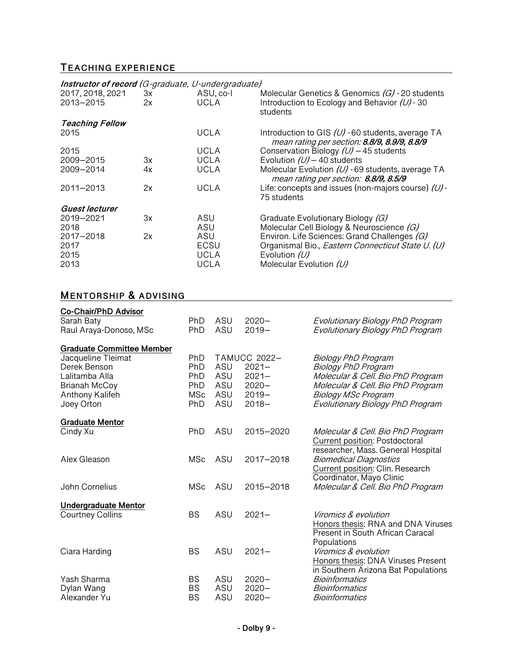# **TEACHING EXPERIENCE**

| Instructor of record (G-graduate, U-undergraduate) |          |                                    |                                                                                                                                                   |
|----------------------------------------------------|----------|------------------------------------|---------------------------------------------------------------------------------------------------------------------------------------------------|
| 2017, 2018, 2021<br>2013-2015                      | 3x<br>2x | ASU, co-l<br>UCLA                  | Molecular Genetics & Genomics $(G)$ - 20 students<br>Introduction to Ecology and Behavior $(U)$ -30<br>students                                   |
| <b>Teaching Fellow</b>                             |          |                                    |                                                                                                                                                   |
| 2015                                               |          | UCLA                               | Introduction to GIS $(U)$ -60 students, average TA<br>mean rating per section: 8.8/9, 8.9/9, 8.8/9                                                |
| 2015                                               |          | <b>UCLA</b>                        | Conservation Biology $(U)$ – 45 students                                                                                                          |
| 2009-2015                                          | 3x       | <b>UCLA</b>                        | Evolution $(U)$ – 40 students                                                                                                                     |
| 2009-2014                                          | 4x       | <b>UCLA</b>                        | Molecular Evolution $(U)$ - 69 students, average TA<br>mean rating per section: 8.8/9, 8.5/9                                                      |
| 2011-2013                                          | 2x       | <b>UCLA</b>                        | Life: concepts and issues (non-majors course) $(U)$ -<br>75 students                                                                              |
| Guest lecturer                                     |          |                                    |                                                                                                                                                   |
| 2019-2021                                          | 3x       | ASU                                | Graduate Evolutionary Biology (G)                                                                                                                 |
| 2018                                               |          | ASU                                | Molecular Cell Biology & Neuroscience (G)                                                                                                         |
| 2017-2018<br>2017<br>2015<br>2013                  | 2x       | ASU<br>ECSU<br><b>UCLA</b><br>UCLA | Environ. Life Sciences: Grand Challenges (G)<br>Organismal Bio., Eastern Connecticut State U. (U)<br>Evolution $(U)$<br>Molecular Evolution $(U)$ |

# **MENTORSHIP & ADVISING**

| Co-Chair/PhD Advisor                                   |                        |            |                      |                                                                     |
|--------------------------------------------------------|------------------------|------------|----------------------|---------------------------------------------------------------------|
| Sarah Baty                                             | <b>PhD</b>             | ASU        | $2020 -$             | Evolutionary Biology PhD Program                                    |
| Raul Araya-Donoso, MSc                                 | PhD                    | ASU        | $2019 -$             | Evolutionary Biology PhD Program                                    |
|                                                        |                        |            |                      |                                                                     |
| <b>Graduate Committee Member</b><br>Jacqueline Tleimat | PhD                    |            | <b>TAMUCC 2022-</b>  |                                                                     |
| Derek Benson                                           | <b>PhD</b>             | ASU        | $2021 -$             | <b>Biology PhD Program</b><br><b>Biology PhD Program</b>            |
| Lalitamba Alla                                         | PhD                    | ASU        | $2021 -$             | Molecular & Cell. Bio PhD Program                                   |
| Brianah McCoy                                          | PhD                    | ASU        | $2020 -$             | Molecular & Cell. Bio PhD Program                                   |
| Anthony Kalifeh                                        | <b>MSc</b>             | ASU        | $2019 -$             | <b>Biology MSc Program</b>                                          |
| Joey Orton                                             | PhD                    | ASU        | $2018 -$             | Evolutionary Biology PhD Program                                    |
|                                                        |                        |            |                      |                                                                     |
| <b>Graduate Mentor</b>                                 |                        |            |                      |                                                                     |
| Cindy Xu                                               | <b>PhD</b>             | ASU        | 2015-2020            | Molecular & Cell. Bio PhD Program<br>Current position: Postdoctoral |
|                                                        |                        |            |                      | researcher, Mass. General Hospital                                  |
| Alex Gleason                                           | <b>MSc</b>             | ASU        | 2017-2018            | <b>Biomedical Diagnostics</b>                                       |
|                                                        |                        |            |                      | Current position: Clin. Research                                    |
|                                                        |                        |            |                      | Coordinator, Mayo Clinic                                            |
| John Cornelius                                         | <b>MSc</b>             | ASU        | 2015-2018            | Molecular & Cell. Bio PhD Program                                   |
| <b>Undergraduate Mentor</b>                            |                        |            |                      |                                                                     |
| Courtney Collins                                       | <b>BS</b>              | ASU        | $2021 -$             | <i>Viromics &amp; evolution</i>                                     |
|                                                        |                        |            |                      | Honors thesis: RNA and DNA Viruses                                  |
|                                                        |                        |            |                      | Present in South African Caracal                                    |
|                                                        |                        |            |                      | Populations                                                         |
| Ciara Harding                                          | <b>BS</b>              | ASU        | $2021 -$             | Viromics & evolution                                                |
|                                                        |                        |            |                      | Honors thesis: DNA Viruses Present                                  |
|                                                        |                        |            |                      | in Southern Arizona Bat Populations                                 |
| Yash Sharma                                            | <b>BS</b>              | ASU        | $2020 -$             | <b>Bioinformatics</b>                                               |
| Dylan Wang<br>Alexander Yu                             | <b>BS</b><br><b>BS</b> | ASU<br>ASU | $2020 -$<br>$2020 -$ | <b>Bioinformatics</b><br><b>Bioinformatics</b>                      |
|                                                        |                        |            |                      |                                                                     |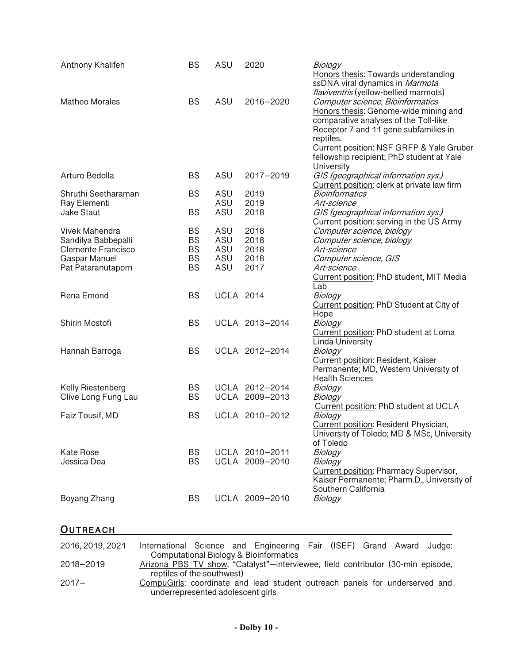| Anthony Khalifeh                                  | <b>BS</b>              | ASU               | 2020                             | Biology<br>Honors thesis: Towards understanding<br>ssDNA viral dynamics in Marmota                                                                                                                                                                                                                                              |
|---------------------------------------------------|------------------------|-------------------|----------------------------------|---------------------------------------------------------------------------------------------------------------------------------------------------------------------------------------------------------------------------------------------------------------------------------------------------------------------------------|
| <b>Matheo Morales</b>                             | <b>BS</b>              | ASU               | 2016-2020                        | <i>flaviventris</i> (yellow-bellied marmots)<br>Computer science, Bioinformatics<br>Honors thesis: Genome-wide mining and<br>comparative analyses of the Toll-like<br>Receptor 7 and 11 gene subfamilies in<br>reptiles.<br>Current position: NSF GRFP & Yale Gruber<br>fellowship recipient; PhD student at Yale<br>University |
| Arturo Bedolla                                    | <b>BS</b>              | ASU               | 2017-2019                        | GIS (geographical information sys.)<br>Current position: clerk at private law firm                                                                                                                                                                                                                                              |
| Shruthi Seetharaman<br>Ray Elementi<br>Jake Staut | <b>BS</b><br><b>BS</b> | ASU<br>ASU<br>ASU | 2019<br>2019<br>2018             | <b>Bioinformatics</b><br>Art-science<br>GIS (geographical information sys.)                                                                                                                                                                                                                                                     |
| Vivek Mahendra<br>Sandilya Babbepalli             | <b>BS</b><br><b>BS</b> | ASU<br>ASU        | 2018<br>2018                     | Current position: serving in the US Army<br>Computer science, biology<br>Computer science, biology                                                                                                                                                                                                                              |
| Clemente Francisco<br>Gaspar Manuel               | <b>BS</b><br><b>BS</b> | ASU<br>ASU        | 2018<br>2018                     | Art-science<br>Computer science, GIS                                                                                                                                                                                                                                                                                            |
| Pat Pataranutaporn                                | <b>BS</b>              | ASU               | 2017                             | Art-science<br>Current position: PhD student, MIT Media<br>Lab                                                                                                                                                                                                                                                                  |
| Rena Emond                                        | <b>BS</b>              | <b>UCLA 2014</b>  |                                  | Biology<br>Current position: PhD Student at City of<br>Hope                                                                                                                                                                                                                                                                     |
| Shirin Mostofi                                    | <b>BS</b>              |                   | UCLA 2013-2014                   | Biology<br>Current position: PhD student at Loma<br>Linda University                                                                                                                                                                                                                                                            |
| Hannah Barroga                                    | <b>BS</b>              |                   | UCLA 2012-2014                   | Biology<br>Current position: Resident, Kaiser<br>Permanente; MD, Western University of<br><b>Health Sciences</b>                                                                                                                                                                                                                |
| Kelly Riestenberg                                 | <b>BS</b>              |                   | UCLA 2012-2014                   | Biology                                                                                                                                                                                                                                                                                                                         |
| Clive Long Fung Lau                               | <b>BS</b>              |                   | UCLA 2009-2013                   | Biology<br>Current position: PhD student at UCLA                                                                                                                                                                                                                                                                                |
| Faiz Tousif, MD                                   | <b>BS</b>              |                   | UCLA 2010-2012                   | Biology<br>Current position: Resident Physician,<br>University of Toledo; MD & MSc, University<br>of Toledo                                                                                                                                                                                                                     |
| <b>Kate Rose</b><br>Jessica Dea                   | <b>BS</b><br><b>BS</b> |                   | UCLA 2010-2011<br>UCLA 2009-2010 | Biology<br>Biology<br><b>Current position: Pharmacy Supervisor,</b><br>Kaiser Permanente; Pharm.D., University of<br>Southern California                                                                                                                                                                                        |
| Boyang Zhang                                      | <b>BS</b>              |                   | UCLA 2009-2010                   | Biology                                                                                                                                                                                                                                                                                                                         |

# **OUTREACH**

| 2016, 2019, 2021 | International Science and Engineering Fair (ISEF) Grand Award Judge:                                             |
|------------------|------------------------------------------------------------------------------------------------------------------|
|                  | Computational Biology & Bioinformatics                                                                           |
| 2018-2019        | Arizona PBS TV show, "Catalyst"-interviewee, field contributor (30-min episode,                                  |
|                  | reptiles of the southwest)                                                                                       |
| $2017 -$         | CompuGirls: coordinate and lead student outreach panels for underserved and<br>underrepresented adolescent girls |
|                  |                                                                                                                  |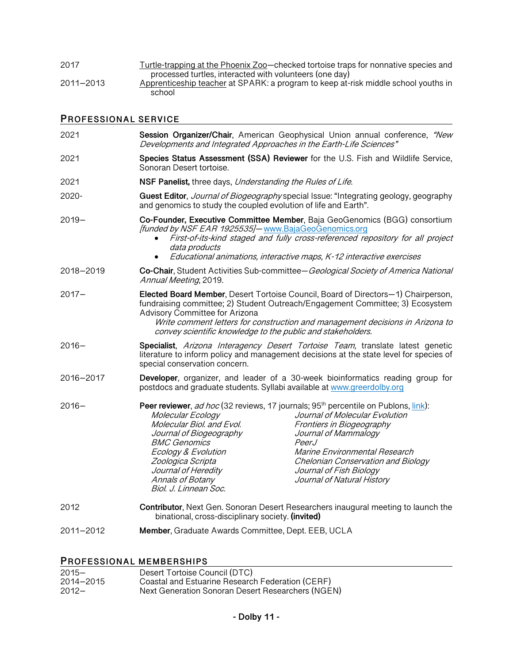| 2017      | Turtle-trapping at the Phoenix Zoo-checked tortoise traps for nonnative species and |
|-----------|-------------------------------------------------------------------------------------|
|           | processed turtles, interacted with volunteers (one day)                             |
| 2011-2013 | Apprenticeship teacher at SPARK: a program to keep at-risk middle school youths in  |
|           | school                                                                              |

## **PROFESSIONAL SERVICE**

| 2021      | Session Organizer/Chair, American Geophysical Union annual conference, "New<br>Developments and Integrated Approaches in the Earth-Life Sciences"                                                                                                                                                                                                                                                                                                                                                                                                         |  |
|-----------|-----------------------------------------------------------------------------------------------------------------------------------------------------------------------------------------------------------------------------------------------------------------------------------------------------------------------------------------------------------------------------------------------------------------------------------------------------------------------------------------------------------------------------------------------------------|--|
| 2021      | Species Status Assessment (SSA) Reviewer for the U.S. Fish and Wildlife Service,<br>Sonoran Desert tortoise.                                                                                                                                                                                                                                                                                                                                                                                                                                              |  |
| 2021      | NSF Panelist, three days, Understanding the Rules of Life.                                                                                                                                                                                                                                                                                                                                                                                                                                                                                                |  |
| 2020-     | Guest Editor, Journal of Biogeography special Issue: "Integrating geology, geography<br>and genomics to study the coupled evolution of life and Earth".                                                                                                                                                                                                                                                                                                                                                                                                   |  |
| $2019 -$  | Co-Founder, Executive Committee Member, Baja GeoGenomics (BGG) consortium<br>[funded by NSF EAR 1925535]- www.BajaGeoGenomics.org<br>First-of-its-kind staged and fully cross-referenced repository for all project<br>data products<br>Educational animations, interactive maps, K-12 interactive exercises<br>$\bullet$                                                                                                                                                                                                                                 |  |
| 2018-2019 | Co-Chair, Student Activities Sub-committee-Geological Society of America National<br>Annual Meeting, 2019.                                                                                                                                                                                                                                                                                                                                                                                                                                                |  |
| 2017–     | Elected Board Member, Desert Tortoise Council, Board of Directors-1) Chairperson,<br>fundraising committee; 2) Student Outreach/Engagement Committee; 3) Ecosystem<br>Advisory Committee for Arizona<br>Write comment letters for construction and management decisions in Arizona to<br>convey scientific knowledge to the public and stakeholders.                                                                                                                                                                                                      |  |
| $2016 -$  | Specialist, Arizona Interagency Desert Tortoise Team, translate latest genetic<br>literature to inform policy and management decisions at the state level for species of<br>special conservation concern.                                                                                                                                                                                                                                                                                                                                                 |  |
| 2016-2017 | Developer, organizer, and leader of a 30-week bioinformatics reading group for<br>postdocs and graduate students. Syllabi available at www.greerdolby.org                                                                                                                                                                                                                                                                                                                                                                                                 |  |
| $2016 -$  | Peer reviewer, <i>ad hoc</i> (32 reviews, 17 journals; 95 <sup>th</sup> percentile on Publons, link):<br>Journal of Molecular Evolution<br>Molecular Ecology<br>Molecular Biol. and Evol.<br>Frontiers in Biogeography<br>Journal of Biogeography<br>Journal of Mammalogy<br><b>BMC Genomics</b><br>PeerJ<br>Ecology & Evolution<br>Marine Environmental Research<br>Zoologica Scripta<br>Chelonian Conservation and Biology<br>Journal of Heredity<br>Journal of Fish Biology<br>Annals of Botany<br>Journal of Natural History<br>Biol. J. Linnean Soc. |  |
| 2012      | <b>Contributor, Next Gen. Sonoran Desert Researchers inaugural meeting to launch the</b><br>binational, cross-disciplinary society. (invited)                                                                                                                                                                                                                                                                                                                                                                                                             |  |
| 2011-2012 | Member, Graduate Awards Committee, Dept. EEB, UCLA                                                                                                                                                                                                                                                                                                                                                                                                                                                                                                        |  |
|           |                                                                                                                                                                                                                                                                                                                                                                                                                                                                                                                                                           |  |

# **PROFESSIONAL MEMBERSHIPS**

| 2015—              | Desert Tortoise Council (DTC)                                                                         |
|--------------------|-------------------------------------------------------------------------------------------------------|
| 2014-2015<br>2012– | Coastal and Estuarine Research Federation (CERF)<br>Next Generation Sonoran Desert Researchers (NGEN) |
|                    |                                                                                                       |